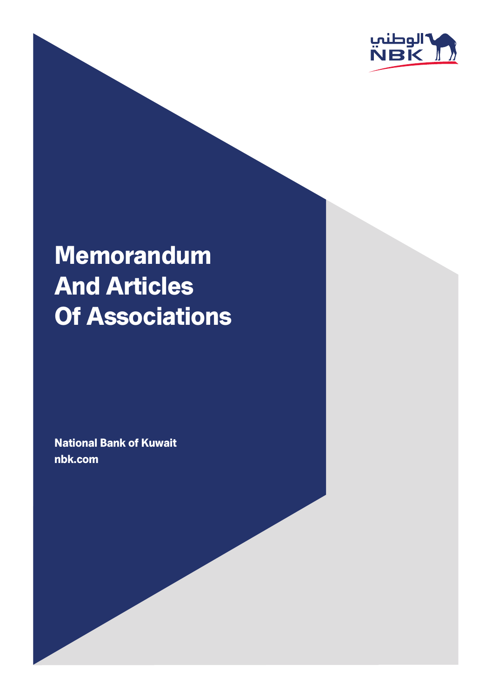

# Memorandum And Articles Of Associations

National Bank of Kuwait nbk.com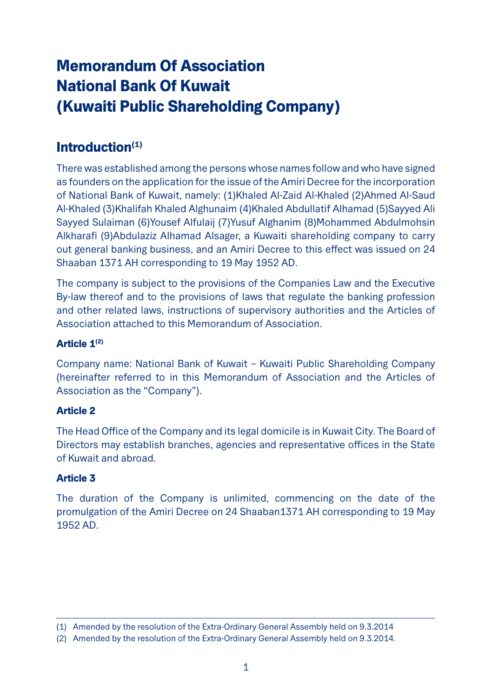# Memorandum Of Association National Bank Of Kuwait (Kuwaiti Public Shareholding Company)

# Introduction<sup>(1)</sup>

There was established among the persons whose names follow and who have signed as founders on the application for the issue of the Amiri Decree for the incorporation of National Bank of Kuwait, namely: (1)Khaled Al-Zaid Al-Khaled (2)Ahmed Al-Saud Al-Khaled (3)Khalifah Khaled Alghunaim (4)Khaled Abdullatif Alhamad (5)Sayyed Ali Sayyed Sulaiman (6)Yousef Alfulaij (7)Yusuf Alghanim (8)Mohammed Abdulmohsin Alkharafi (9)Abdulaziz Alhamad Alsager, a Kuwaiti shareholding company to carry out general banking business, and an Amiri Decree to this effect was issued on 24 Shaaban 1371 AH corresponding to 19 May 1952 AD.

The company is subject to the provisions of the Companies Law and the Executive By-law thereof and to the provisions of laws that regulate the banking profession and other related laws, instructions of supervisory authorities and the Articles of Association attached to this Memorandum of Association.

### Article 1(2)

Company name: National Bank of Kuwait – Kuwaiti Public Shareholding Company (hereinafter referred to in this Memorandum of Association and the Articles of Association as the "Company").

# Article 2

The Head Office of the Company and its legal domicile is in Kuwait City. The Board of Directors may establish branches, agencies and representative offices in the State of Kuwait and abroad.

# Article 3

The duration of the Company is unlimited, commencing on the date of the promulgation of the Amiri Decree on 24 Shaaban1371 AH corresponding to 19 May 1952 AD.

<sup>(1)</sup> Amended by the resolution of the Extra-Ordinary General Assembly held on 9.3.2014

<sup>(2)</sup> Amended by the resolution of the Extra-Ordinary General Assembly held on 9.3.2014.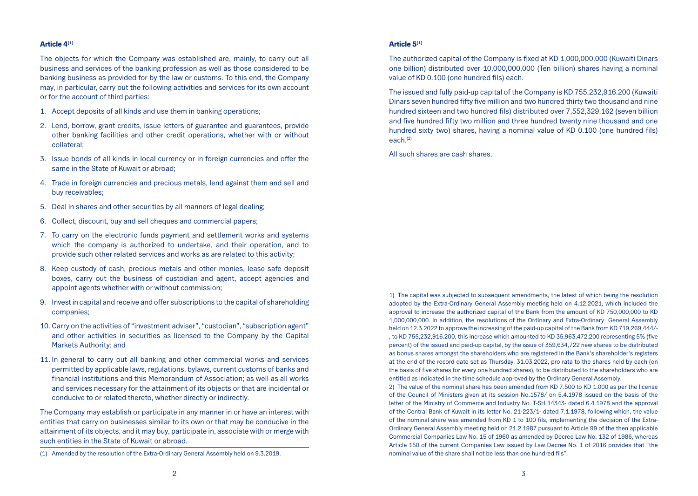#### Article 4(1)

The objects for which the Company was established are, mainly, to carry out all business and services of the banking profession as well as those considered to be banking business as provided for by the law or customs. To this end, the Company may, in particular, carry out the following activities and services for its own account or for the account of third parties:

- 1. Accept deposits of all kinds and use them in banking operations;
- 2. Lend, borrow, grant credits, issue letters of guarantee and guarantees, provide other banking facilities and other credit operations, whether with or without collateral;
- 3. Issue bonds of all kinds in local currency or in foreign currencies and offer the same in the State of Kuwait or abroad;
- 4. Trade in foreign currencies and precious metals, lend against them and sell and buy receivables;
- 5. Deal in shares and other securities by all manners of legal dealing;
- 6. Collect, discount, buy and sell cheques and commercial papers;
- 7. To carry on the electronic funds payment and settlement works and systems which the company is authorized to undertake, and their operation, and to provide such other related services and works as are related to this activity;
- 8. Keep custody of cash, precious metals and other monies, lease safe deposit boxes, carry out the business of custodian and agent, accept agencies and appoint agents whether with or without commission;
- 9. Invest in capital and receive and offer subscriptions to the capital of shareholding companies;
- 10. Carry on the activities of "investment adviser", "custodian", "subscription agent" and other activities in securities as licensed to the Company by the Capital Markets Authority; and
- 11. In general to carry out all banking and other commercial works and services permitted by applicable laws, regulations, bylaws, current customs of banks and financial institutions and this Memorandum of Association; as well as all works and services necessary for the attainment of its objects or that are incidental or conducive to or related thereto, whether directly or indirectly.

The Company may establish or participate in any manner in or have an interest with entities that carry on businesses similar to its own or that may be conducive in the attainment of its objects, and it may buy, participate in, associate with or merge with such entities in the State of Kuwait or abroad.

#### Article 5(1)

The authorized capital of the Company is fixed at KD 1,000,000,000 (Kuwaiti Dinars one billion) distributed over 10,000,000,000 (Ten billion) shares having a nominal value of KD 0.100 (one hundred fils) each.

The issued and fully paid-up capital of the Company is KD 755,232,916.200 (Kuwaiti Dinars seven hundred fifty five million and two hundred thirty two thousand and nine hundred sixteen and two hundred fils) distributed over 7,552,329,162 (seven billion and five hundred fifty two million and three hundred twenty nine thousand and one hundred sixty two) shares, having a nominal value of KD 0.100 (one hundred fils)  $\arctan(2)$ 

All such shares are cash shares.

1) The capital was subjected to subsequent amendments, the latest of which being the resolution adopted by the Extra-Ordinary General Assembly meeting held on 4.12.2021, which included the approval to increase the authorized capital of the Bank from the amount of KD 750,000,000 to KD 1,000,000,000. In addition, the resolutions of the Ordinary and Extra-Ordinary General Assembly held on 12.3.2022 to approve the increasing of the paid-up capital of the Bank from KD 719,269,444/- , to KD 755,232,916.200, this increase which amounted to KD 35,963,472.200 representing 5% (five percent) of the issued and paid-up capital, by the issue of 359,634,722 new shares to be distributed as bonus shares amongst the shareholders who are registered in the Bank's shareholder's registers at the end of the record date set as Thursday, 31.03.2022, pro rata to the shares held by each (on the basis of five shares for every one hundred shares), to be distributed to the shareholders who are entitled as indicated in the time schedule approved by the Ordinary General Assembly.

2) The value of the nominal share has been amended from KD 7.500 to KD 1.000 as per the license of the Council of Ministers given at its session No.1578/ on 5.4.1978 issued on the basis of the letter of the Ministry of Commerce and Industry No. T-SH 14343- dated 6.4.1978 and the approval of the Central Bank of Kuwait in its letter No. 21-223/1- dated 7.1.1978, following which, the value of the nominal share was amended from KD 1 to 100 fils, implementing the decision of the Extra-Ordinary General Assembly meeting held on 21.2.1987 pursuant to Article 99 of the then applicable Commercial Companies Law No. 15 of 1960 as amended by Decree Law No. 132 of 1986, whereas Article 150 of the current Companies Law issued by Law Decree No. 1 of 2016 provides that "the nominal value of the share shall not be less than one hundred fils".

<sup>(1)</sup> Amended by the resolution of the Extra-Ordinary General Assembly held on 9.3.2019.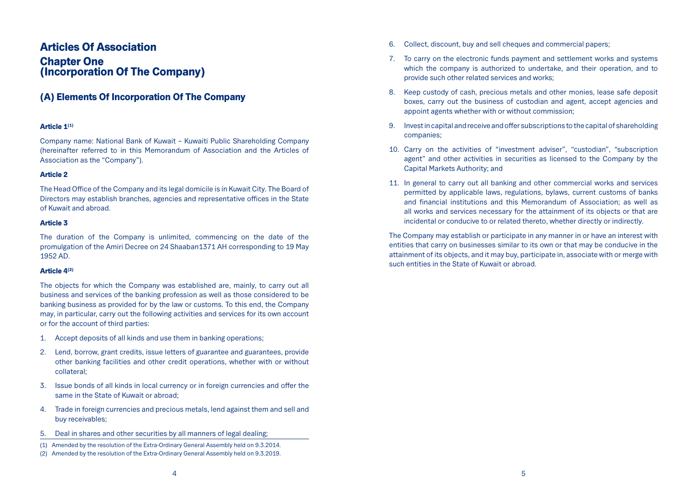# Articles Of Association

# **Chapter One** (Incorporation Of The Company)

# (A) Elements Of Incorporation Of The Company

# Article 1<sup>(1)</sup>

Company name: National Bank of Kuwait – Kuwaiti Public Shareholding Company (hereinafter referred to in this Memorandum of Association and the Articles of Association as the "Company").

# Article 2

The Head Office of the Company and its legal domicile is in Kuwait City. The Board of Directors may establish branches, agencies and representative offices in the State of Kuwait and abroad.

### Article 3

The duration of the Company is unlimited, commencing on the date of the promulgation of the Amiri Decree on 24 Shaaban1371 AH corresponding to 19 May 1952 AD.

# $Articla 4<sup>(2)</sup>$

The objects for which the Company was established are, mainly, to carry out all business and services of the banking profession as well as those considered to be banking business as provided for by the law or customs. To this end, the Company may, in particular, carry out the following activities and services for its own account or for the account of third parties:

- 1. Accept deposits of all kinds and use them in banking operations;
- 2. Lend, borrow, grant credits, issue letters of guarantee and guarantees, provide other banking facilities and other credit operations, whether with or without collateral;
- 3. Issue bonds of all kinds in local currency or in foreign currencies and offer the same in the State of Kuwait or abroad;
- 4. Trade in foreign currencies and precious metals, lend against them and sell and buy receivables;
- 5. Deal in shares and other securities by all manners of legal dealing;
- (1) Amended by the resolution of the Extra-Ordinary General Assembly held on 9.3.2014.
- (2) Amended by the resolution of the Extra-Ordinary General Assembly held on 9.3.2019.
- 6. Collect, discount, buy and sell cheques and commercial papers;
- 7. To carry on the electronic funds payment and settlement works and systems which the company is authorized to undertake, and their operation, and to provide such other related services and works;
- 8. Keep custody of cash, precious metals and other monies, lease safe deposit boxes, carry out the business of custodian and agent, accept agencies and appoint agents whether with or without commission;
- 9. Invest in capital and receive and offer subscriptions to the capital of shareholding companies;
- 10. Carry on the activities of "investment adviser", "custodian", "subscription agent" and other activities in securities as licensed to the Company by the Capital Markets Authority; and
- 11. In general to carry out all banking and other commercial works and services permitted by applicable laws, regulations, bylaws, current customs of banks and financial institutions and this Memorandum of Association; as well as all works and services necessary for the attainment of its objects or that are incidental or conducive to or related thereto, whether directly or indirectly.

The Company may establish or participate in any manner in or have an interest with entities that carry on businesses similar to its own or that may be conducive in the attainment of its objects, and it may buy, participate in, associate with or merge with such entities in the State of Kuwait or abroad.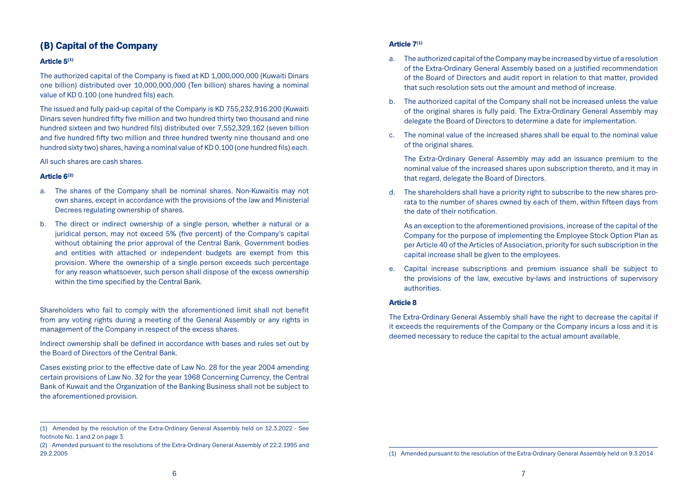# (B) Capital of the Company

### Article 5(1)

The authorized capital of the Company is fixed at KD 1,000,000,000 (Kuwaiti Dinars one billion) distributed over 10,000,000,000 (Ten billion) shares having a nominal value of KD 0.100 (one hundred fils) each.

The issued and fully paid-up capital of the Company is KD 755,232,916.200 (Kuwaiti Dinars seven hundred fifty five million and two hundred thirty two thousand and nine hundred sixteen and two hundred fils) distributed over 7,552,329,162 (seven billion and five hundred fifty two million and three hundred twenty nine thousand and one hundred sixty two) shares, having a nominal value of KD 0.100 (one hundred fils) each.

All such shares are cash shares.

### Article 6(2)

- a. The shares of the Company shall be nominal shares. Non-Kuwaitis may not own shares, except in accordance with the provisions of the law and Ministerial Decrees regulating ownership of shares.
- b. The direct or indirect ownership of a single person, whether a natural or a juridical person, may not exceed 5% (five percent) of the Company's capital without obtaining the prior approval of the Central Bank. Government bodies and entities with attached or independent budgets are exempt from this provision. Where the ownership of a single person exceeds such percentage for any reason whatsoever, such person shall dispose of the excess ownership within the time specified by the Central Bank.

Shareholders who fail to comply with the aforementioned limit shall not benefit from any voting rights during a meeting of the General Assembly or any rights in management of the Company in respect of the excess shares.

Indirect ownership shall be defined in accordance with bases and rules set out by the Board of Directors of the Central Bank.

Cases existing prior to the effective date of Law No. 28 for the year 2004 amending certain provisions of Law No. 32 for the year 1968 Concerning Currency, the Central Bank of Kuwait and the Organization of the Banking Business shall not be subject to the aforementioned provision.

### Article 7(1)

- a. The authorized capital of the Company may be increased by virtue of a resolution of the Extra-Ordinary General Assembly based on a justified recommendation of the Board of Directors and audit report in relation to that matter, provided that such resolution sets out the amount and method of increase.
- b. The authorized capital of the Company shall not be increased unless the value of the original shares is fully paid. The Extra-Ordinary General Assembly may delegate the Board of Directors to determine a date for implementation.
- c. The nominal value of the increased shares shall be equal to the nominal value of the original shares.

The Extra-Ordinary General Assembly may add an issuance premium to the nominal value of the increased shares upon subscription thereto, and it may in that regard, delegate the Board of Directors.

d. The shareholders shall have a priority right to subscribe to the new shares prorata to the number of shares owned by each of them, within fifteen days from the date of their notification.

As an exception to the aforementioned provisions, increase of the capital of the Company for the purpose of implementing the Employee Stock Option Plan as per Article 40 of the Articles of Association, priority for such subscription in the capital increase shall be given to the employees.

e. Capital increase subscriptions and premium issuance shall be subject to the provisions of the law, executive by-laws and instructions of supervisory authorities.

### Article 8

The Extra-Ordinary General Assembly shall have the right to decrease the capital if it exceeds the requirements of the Company or the Company incurs a loss and it is deemed necessary to reduce the capital to the actual amount available.

<sup>(1)</sup> Amended by the resolution of the Extra-Ordinary General Assembly held on 12.3.2022 - See footnote No. 1 and 2 on page 3.

<sup>(2)</sup> Amended pursuant to the resolutions of the Extra-Ordinary General Assembly of 22.2.1995 and 29.2.2005

<sup>(1)</sup> Amended pursuant to the resolution of the Extra-Ordinary General Assembly held on 9.3.2014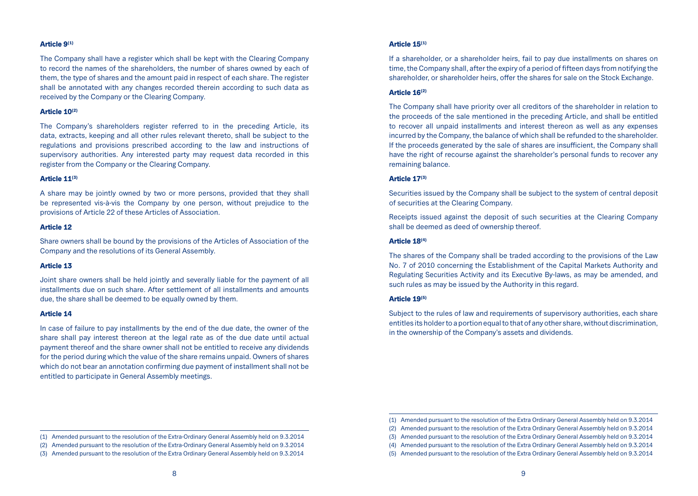#### Article 9(1)

The Company shall have a register which shall be kept with the Clearing Company to record the names of the shareholders, the number of shares owned by each of them, the type of shares and the amount paid in respect of each share. The register shall be annotated with any changes recorded therein according to such data as received by the Company or the Clearing Company.

#### Article 10(2)

The Company's shareholders register referred to in the preceding Article, its data, extracts, keeping and all other rules relevant thereto, shall be subject to the regulations and provisions prescribed according to the law and instructions of supervisory authorities. Any interested party may request data recorded in this register from the Company or the Clearing Company.

#### Article 11(3)

A share may be jointly owned by two or more persons, provided that they shall be represented vis-à-vis the Company by one person, without prejudice to the provisions of Article 22 of these Articles of Association.

#### Article 12

Share owners shall be bound by the provisions of the Articles of Association of the Company and the resolutions of its General Assembly.

#### Article 13

Joint share owners shall be held jointly and severally liable for the payment of all installments due on such share. After settlement of all installments and amounts due, the share shall be deemed to be equally owned by them.

#### Article 14

In case of failure to pay installments by the end of the due date, the owner of the share shall pay interest thereon at the legal rate as of the due date until actual payment thereof and the share owner shall not be entitled to receive any dividends for the period during which the value of the share remains unpaid. Owners of shares which do not bear an annotation confirming due payment of installment shall not be entitled to participate in General Assembly meetings.

If a shareholder, or a shareholder heirs, fail to pay due installments on shares on time, the Company shall, after the expiry of a period of fifteen days from notifying the shareholder, or shareholder heirs, offer the shares for sale on the Stock Exchange.

#### Article 16(2)

The Company shall have priority over all creditors of the shareholder in relation to the proceeds of the sale mentioned in the preceding Article, and shall be entitled to recover all unpaid installments and interest thereon as well as any expenses incurred by the Company, the balance of which shall be refunded to the shareholder. If the proceeds generated by the sale of shares are insufficient, the Company shall have the right of recourse against the shareholder's personal funds to recover any remaining balance.

#### Article 17(3)

Securities issued by the Company shall be subject to the system of central deposit of securities at the Clearing Company.

Receipts issued against the deposit of such securities at the Clearing Company shall be deemed as deed of ownership thereof.

#### Article 18(4)

The shares of the Company shall be traded according to the provisions of the Law No. 7 of 2010 concerning the Establishment of the Capital Markets Authority and Regulating Securities Activity and its Executive By-laws, as may be amended, and such rules as may be issued by the Authority in this regard.

#### Article 19(5)

Subject to the rules of law and requirements of supervisory authorities, each share entitles its holder to a portion equal to that of any other share, without discrimination, in the ownership of the Company's assets and dividends.

<sup>(1)</sup> Amended pursuant to the resolution of the Extra-Ordinary General Assembly held on 9.3.2014

<sup>(2)</sup> Amended pursuant to the resolution of the Extra-Ordinary General Assembly held on 9.3.2014

<sup>(3)</sup> Amended pursuant to the resolution of the Extra Ordinary General Assembly held on 9.3.2014

<sup>(1)</sup> Amended pursuant to the resolution of the Extra Ordinary General Assembly held on 9.3.2014

<sup>(2)</sup> Amended pursuant to the resolution of the Extra Ordinary General Assembly held on 9.3.2014

<sup>(3)</sup> Amended pursuant to the resolution of the Extra Ordinary General Assembly held on 9.3.2014

<sup>(4)</sup> Amended pursuant to the resolution of the Extra Ordinary General Assembly held on 9.3.2014

<sup>(5)</sup> Amended pursuant to the resolution of the Extra Ordinary General Assembly held on 9.3.2014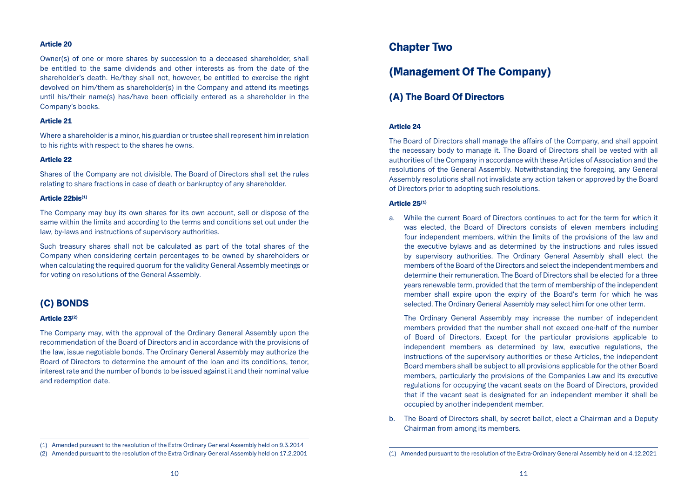### Article 20

Owner(s) of one or more shares by succession to a deceased shareholder, shall be entitled to the same dividends and other interests as from the date of the shareholder's death. He/they shall not, however, be entitled to exercise the right devolved on him/them as shareholder(s) in the Company and attend its meetings until his/their name(s) has/have been officially entered as a shareholder in the Company's books.

#### Article 21

Where a shareholder is a minor, his guardian or trustee shall represent him in relation to his rights with respect to the shares he owns.

### Article 22

Shares of the Company are not divisible. The Board of Directors shall set the rules relating to share fractions in case of death or bankruptcy of any shareholder.

#### Article 22bis(1)

The Company may buy its own shares for its own account, sell or dispose of the same within the limits and according to the terms and conditions set out under the law, by-laws and instructions of supervisory authorities.

Such treasury shares shall not be calculated as part of the total shares of the Company when considering certain percentages to be owned by shareholders or when calculating the required quorum for the validity General Assembly meetings or for voting on resolutions of the General Assembly.

# (C) BONDS

#### Article 23<sup>(2)</sup>

The Company may, with the approval of the Ordinary General Assembly upon the recommendation of the Board of Directors and in accordance with the provisions of the law, issue negotiable bonds. The Ordinary General Assembly may authorize the Board of Directors to determine the amount of the loan and its conditions, tenor, interest rate and the number of bonds to be issued against it and their nominal value and redemption date.

# Chapter Two

# (Management Of The Company)

# (A) The Board Of Directors

### Article 24

The Board of Directors shall manage the affairs of the Company, and shall appoint the necessary body to manage it. The Board of Directors shall be vested with all authorities of the Company in accordance with these Articles of Association and the resolutions of the General Assembly. Notwithstanding the foregoing, any General Assembly resolutions shall not invalidate any action taken or approved by the Board of Directors prior to adopting such resolutions.

#### Article 25<sup>(1)</sup>

a. While the current Board of Directors continues to act for the term for which it was elected, the Board of Directors consists of eleven members including four independent members, within the limits of the provisions of the law and the executive bylaws and as determined by the instructions and rules issued by supervisory authorities. The Ordinary General Assembly shall elect the members of the Board of the Directors and select the independent members and determine their remuneration. The Board of Directors shall be elected for a three years renewable term, provided that the term of membership of the independent member shall expire upon the expiry of the Board's term for which he was selected. The Ordinary General Assembly may select him for one other term.

The Ordinary General Assembly may increase the number of independent members provided that the number shall not exceed one-half of the number of Board of Directors. Except for the particular provisions applicable to independent members as determined by law, executive regulations, the instructions of the supervisory authorities or these Articles, the independent Board members shall be subject to all provisions applicable for the other Board members, particularly the provisions of the Companies Law and its executive regulations for occupying the vacant seats on the Board of Directors, provided that if the vacant seat is designated for an independent member it shall be occupied by another independent member.

b. The Board of Directors shall, by secret ballot, elect a Chairman and a Deputy Chairman from among its members.

<sup>(1)</sup> Amended pursuant to the resolution of the Extra Ordinary General Assembly held on 9.3.2014

<sup>(2)</sup> Amended pursuant to the resolution of the Extra Ordinary General Assembly held on 17.2.2001

<sup>(1)</sup> Amended pursuant to the resolution of the Extra-Ordinary General Assembly held on 4.12.2021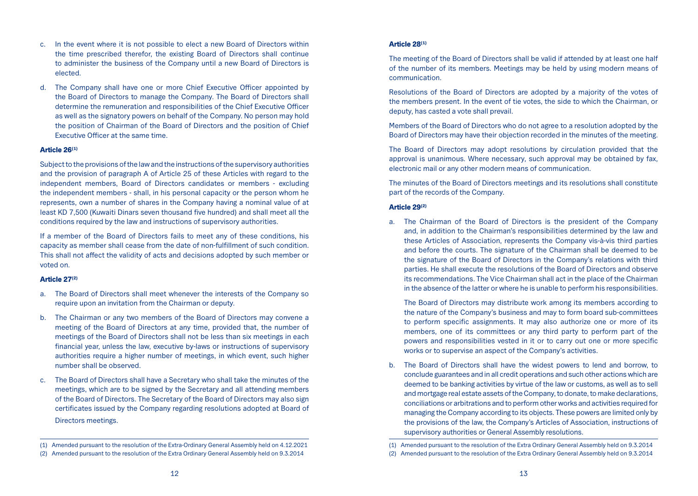- c. In the event where it is not possible to elect a new Board of Directors within the time prescribed therefor, the existing Board of Directors shall continue to administer the business of the Company until a new Board of Directors is elected.
- d. The Company shall have one or more Chief Executive Officer appointed by the Board of Directors to manage the Company. The Board of Directors shall determine the remuneration and responsibilities of the Chief Executive Officer as well as the signatory powers on behalf of the Company. No person may hold the position of Chairman of the Board of Directors and the position of Chief Executive Officer at the same time.

#### Article 26(1)

Subject to the provisions of the law and the instructions of the supervisory authorities and the provision of paragraph A of Article 25 of these Articles with regard to the independent members, Board of Directors candidates or members - excluding the independent members - shall, in his personal capacity or the person whom he represents, own a number of shares in the Company having a nominal value of at least KD 7,500 (Kuwaiti Dinars seven thousand five hundred) and shall meet all the conditions required by the law and instructions of supervisory authorities.

If a member of the Board of Directors fails to meet any of these conditions, his capacity as member shall cease from the date of non-fulfillment of such condition. This shall not affect the validity of acts and decisions adopted by such member or voted on.

#### Article 27(2)

- a. The Board of Directors shall meet whenever the interests of the Company so require upon an invitation from the Chairman or deputy.
- b. The Chairman or any two members of the Board of Directors may convene a meeting of the Board of Directors at any time, provided that, the number of meetings of the Board of Directors shall not be less than six meetings in each financial year, unless the law, executive by-laws or instructions of supervisory authorities require a higher number of meetings, in which event, such higher number shall be observed.
- c. The Board of Directors shall have a Secretary who shall take the minutes of the meetings, which are to be signed by the Secretary and all attending members of the Board of Directors. The Secretary of the Board of Directors may also sign certificates issued by the Company regarding resolutions adopted at Board of Directors meetings.

### Article 28(1)

The meeting of the Board of Directors shall be valid if attended by at least one half of the number of its members. Meetings may be held by using modern means of communication.

Resolutions of the Board of Directors are adopted by a majority of the votes of the members present. In the event of tie votes, the side to which the Chairman, or deputy, has casted a vote shall prevail.

Members of the Board of Directors who do not agree to a resolution adopted by the Board of Directors may have their objection recorded in the minutes of the meeting.

The Board of Directors may adopt resolutions by circulation provided that the approval is unanimous. Where necessary, such approval may be obtained by fax, electronic mail or any other modern means of communication.

The minutes of the Board of Directors meetings and its resolutions shall constitute part of the records of the Company.

#### Article 29(2)

a. The Chairman of the Board of Directors is the president of the Company and, in addition to the Chairman's responsibilities determined by the law and these Articles of Association, represents the Company vis-à-vis third parties and before the courts. The signature of the Chairman shall be deemed to be the signature of the Board of Directors in the Company's relations with third parties. He shall execute the resolutions of the Board of Directors and observe its recommendations. The Vice Chairman shall act in the place of the Chairman in the absence of the latter or where he is unable to perform his responsibilities.

The Board of Directors may distribute work among its members according to the nature of the Company's business and may to form board sub-committees to perform specific assignments. It may also authorize one or more of its members, one of its committees or any third party to perform part of the powers and responsibilities vested in it or to carry out one or more specific works or to supervise an aspect of the Company's activities.

b. The Board of Directors shall have the widest powers to lend and borrow, to conclude guarantees and in all credit operations and such other actions which are deemed to be banking activities by virtue of the law or customs, as well as to sell and mortgage real estate assets of the Company, to donate, to make declarations, conciliations or arbitrations and to perform other works and activities required for managing the Company according to its objects. These powers are limited only by the provisions of the law, the Company's Articles of Association, instructions of supervisory authorities or General Assembly resolutions.

<sup>(1)</sup> Amended pursuant to the resolution of the Extra-Ordinary General Assembly held on 4.12.2021

<sup>(2)</sup> Amended pursuant to the resolution of the Extra Ordinary General Assembly held on 9.3.2014

<sup>(1)</sup> Amended pursuant to the resolution of the Extra Ordinary General Assembly held on 9.3.2014

<sup>(2)</sup> Amended pursuant to the resolution of the Extra Ordinary General Assembly held on 9.3.2014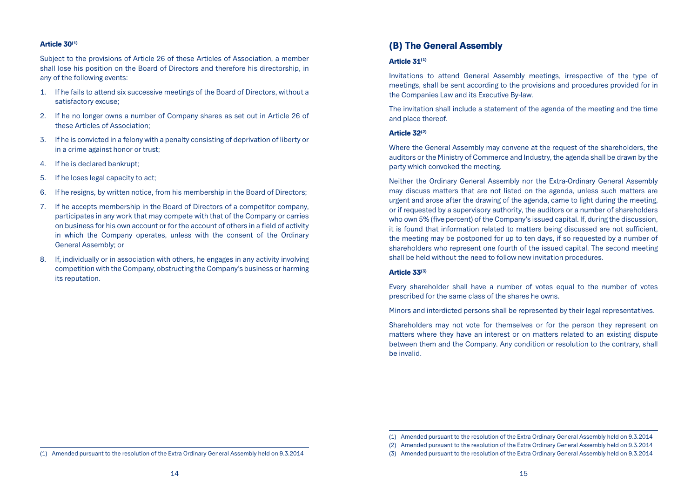#### Article 30(1)

Subject to the provisions of Article 26 of these Articles of Association, a member shall lose his position on the Board of Directors and therefore his directorship, in any of the following events:

- 1. If he fails to attend six successive meetings of the Board of Directors, without a satisfactory excuse;
- 2. If he no longer owns a number of Company shares as set out in Article 26 of these Articles of Association;
- 3. If he is convicted in a felony with a penalty consisting of deprivation of liberty or in a crime against honor or trust;
- 4. If he is declared bankrupt;
- 5. If he loses legal capacity to act;
- 6. If he resigns, by written notice, from his membership in the Board of Directors;
- 7. If he accepts membership in the Board of Directors of a competitor company, participates in any work that may compete with that of the Company or carries on business for his own account or for the account of others in a field of activity in which the Company operates, unless with the consent of the Ordinary General Assembly; or
- 8. If, individually or in association with others, he engages in any activity involving competition with the Company, obstructing the Company's business or harming its reputation.

# (B) The General Assembly

#### Article 31(1)

Invitations to attend General Assembly meetings, irrespective of the type of meetings, shall be sent according to the provisions and procedures provided for in the Companies Law and its Executive By-law.

The invitation shall include a statement of the agenda of the meeting and the time and place thereof.

# Article 32(2)

Where the General Assembly may convene at the request of the shareholders, the auditors or the Ministry of Commerce and Industry, the agenda shall be drawn by the party which convoked the meeting.

Neither the Ordinary General Assembly nor the Extra-Ordinary General Assembly may discuss matters that are not listed on the agenda, unless such matters are urgent and arose after the drawing of the agenda, came to light during the meeting, or if requested by a supervisory authority, the auditors or a number of shareholders who own 5% (five percent) of the Company's issued capital. If, during the discussion, it is found that information related to matters being discussed are not sufficient, the meeting may be postponed for up to ten days, if so requested by a number of shareholders who represent one fourth of the issued capital. The second meeting shall be held without the need to follow new invitation procedures.

#### Article 33(3)

Every shareholder shall have a number of votes equal to the number of votes prescribed for the same class of the shares he owns.

Minors and interdicted persons shall be represented by their legal representatives.

Shareholders may not vote for themselves or for the person they represent on matters where they have an interest or on matters related to an existing dispute between them and the Company. Any condition or resolution to the contrary, shall be invalid.

<sup>(1)</sup> Amended pursuant to the resolution of the Extra Ordinary General Assembly held on 9.3.2014

<sup>(2)</sup> Amended pursuant to the resolution of the Extra Ordinary General Assembly held on 9.3.2014

<sup>(3)</sup> Amended pursuant to the resolution of the Extra Ordinary General Assembly held on 9.3.2014

<sup>(1)</sup> Amended pursuant to the resolution of the Extra Ordinary General Assembly held on 9.3.2014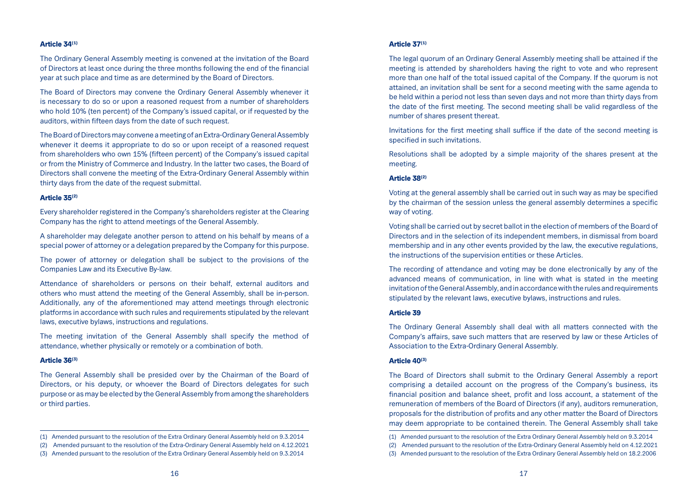#### Article 34(1)

The Ordinary General Assembly meeting is convened at the invitation of the Board of Directors at least once during the three months following the end of the financial year at such place and time as are determined by the Board of Directors.

The Board of Directors may convene the Ordinary General Assembly whenever it is necessary to do so or upon a reasoned request from a number of shareholders who hold 10% (ten percent) of the Company's issued capital, or if requested by the auditors, within fifteen days from the date of such request.

The Board of Directors may convene a meeting of an Extra-Ordinary General Assembly whenever it deems it appropriate to do so or upon receipt of a reasoned request from shareholders who own 15% (fifteen percent) of the Company's issued capital or from the Ministry of Commerce and Industry. In the latter two cases, the Board of Directors shall convene the meeting of the Extra-Ordinary General Assembly within thirty days from the date of the request submittal.

#### Article 35(2)

Every shareholder registered in the Company's shareholders register at the Clearing Company has the right to attend meetings of the General Assembly.

A shareholder may delegate another person to attend on his behalf by means of a special power of attorney or a delegation prepared by the Company for this purpose.

The power of attorney or delegation shall be subject to the provisions of the Companies Law and its Executive By-law.

Attendance of shareholders or persons on their behalf, external auditors and others who must attend the meeting of the General Assembly, shall be in-person. Additionally, any of the aforementioned may attend meetings through electronic platforms in accordance with such rules and requirements stipulated by the relevant laws, executive bylaws, instructions and regulations.

The meeting invitation of the General Assembly shall specify the method of attendance, whether physically or remotely or a combination of both.

#### Article 36<sup>(3)</sup>

The General Assembly shall be presided over by the Chairman of the Board of Directors, or his deputy, or whoever the Board of Directors delegates for such purpose or as may be elected by the General Assembly from among the shareholders or third parties.

### Article 37(1)

The legal quorum of an Ordinary General Assembly meeting shall be attained if the meeting is attended by shareholders having the right to vote and who represent more than one half of the total issued capital of the Company. If the quorum is not attained, an invitation shall be sent for a second meeting with the same agenda to be held within a period not less than seven days and not more than thirty days from the date of the first meeting. The second meeting shall be valid regardless of the number of shares present thereat.

Invitations for the first meeting shall suffice if the date of the second meeting is specified in such invitations.

Resolutions shall be adopted by a simple majority of the shares present at the meeting.

#### Article 38(2)

Voting at the general assembly shall be carried out in such way as may be specified by the chairman of the session unless the general assembly determines a specific way of voting.

Voting shall be carried out by secret ballot in the election of members of the Board of Directors and in the selection of its independent members, in dismissal from board membership and in any other events provided by the law, the executive regulations, the instructions of the supervision entities or these Articles.

The recording of attendance and voting may be done electronically by any of the advanced means of communication, in line with what is stated in the meeting invitation of the General Assembly, and in accordance with the rules and requirements stipulated by the relevant laws, executive bylaws, instructions and rules.

#### Article 39

The Ordinary General Assembly shall deal with all matters connected with the Company's affairs, save such matters that are reserved by law or these Articles of Association to the Extra-Ordinary General Assembly.

#### Article 40(3)

The Board of Directors shall submit to the Ordinary General Assembly a report comprising a detailed account on the progress of the Company's business, its financial position and balance sheet, profit and loss account, a statement of the remuneration of members of the Board of Directors (if any), auditors remuneration, proposals for the distribution of profits and any other matter the Board of Directors may deem appropriate to be contained therein. The General Assembly shall take

<sup>(1)</sup> Amended pursuant to the resolution of the Extra Ordinary General Assembly held on 9.3.2014

<sup>(2)</sup> Amended pursuant to the resolution of the Extra-Ordinary General Assembly held on 4.12.2021

<sup>(3)</sup> Amended pursuant to the resolution of the Extra Ordinary General Assembly held on 9.3.2014

<sup>(1)</sup> Amended pursuant to the resolution of the Extra Ordinary General Assembly held on 9.3.2014

<sup>(2)</sup> Amended pursuant to the resolution of the Extra-Ordinary General Assembly held on 4.12.2021

<sup>(3)</sup> Amended pursuant to the resolution of the Extra Ordinary General Assembly held on 18.2.2006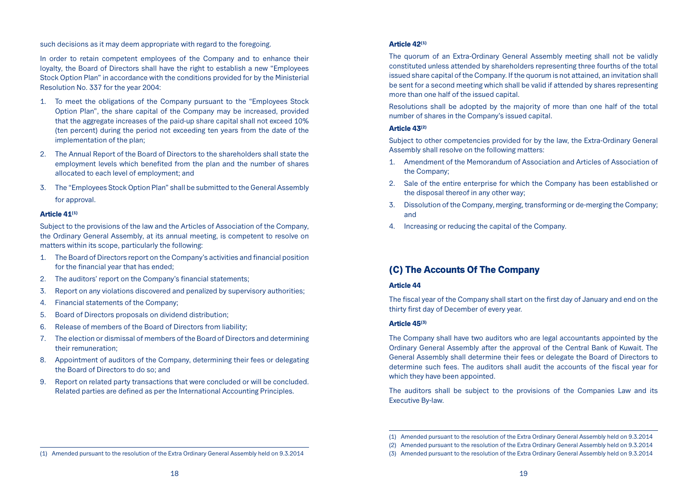such decisions as it may deem appropriate with regard to the foregoing.

In order to retain competent employees of the Company and to enhance their loyalty, the Board of Directors shall have the right to establish a new "Employees Stock Option Plan" in accordance with the conditions provided for by the Ministerial Resolution No. 337 for the year 2004:

- 1. To meet the obligations of the Company pursuant to the "Employees Stock Option Plan", the share capital of the Company may be increased, provided that the aggregate increases of the paid-up share capital shall not exceed 10% (ten percent) during the period not exceeding ten years from the date of the implementation of the plan;
- 2. The Annual Report of the Board of Directors to the shareholders shall state the employment levels which benefited from the plan and the number of shares allocated to each level of employment; and
- 3. The "Employees Stock Option Plan" shall be submitted to the General Assembly for approval.

#### Article 41<sup>(1)</sup>

Subject to the provisions of the law and the Articles of Association of the Company, the Ordinary General Assembly, at its annual meeting, is competent to resolve on matters within its scope, particularly the following:

- 1. The Board of Directors report on the Company's activities and financial position for the financial year that has ended;
- 2. The auditors' report on the Company's financial statements;
- 3. Report on any violations discovered and penalized by supervisory authorities;
- 4. Financial statements of the Company;
- 5. Board of Directors proposals on dividend distribution;
- 6. Release of members of the Board of Directors from liability;
- 7. The election or dismissal of members of the Board of Directors and determining their remuneration;
- 8. Appointment of auditors of the Company, determining their fees or delegating the Board of Directors to do so; and
- 9. Report on related party transactions that were concluded or will be concluded. Related parties are defined as per the International Accounting Principles.

### Article 42(1)

The quorum of an Extra-Ordinary General Assembly meeting shall not be validly constituted unless attended by shareholders representing three fourths of the total issued share capital of the Company. If the quorum is not attained, an invitation shall be sent for a second meeting which shall be valid if attended by shares representing more than one half of the issued capital.

Resolutions shall be adopted by the majority of more than one half of the total number of shares in the Company's issued capital.

#### Article 43(2)

Subject to other competencies provided for by the law, the Extra-Ordinary General Assembly shall resolve on the following matters:

- 1. Amendment of the Memorandum of Association and Articles of Association of the Company;
- 2. Sale of the entire enterprise for which the Company has been established or the disposal thereof in any other way;
- 3. Dissolution of the Company, merging, transforming or de-merging the Company; and
- 4. Increasing or reducing the capital of the Company.

# (C) The Accounts Of The Company

### Article 44

The fiscal year of the Company shall start on the first day of January and end on the thirty first day of December of every year.

#### Article 45(3)

The Company shall have two auditors who are legal accountants appointed by the Ordinary General Assembly after the approval of the Central Bank of Kuwait. The General Assembly shall determine their fees or delegate the Board of Directors to determine such fees. The auditors shall audit the accounts of the fiscal year for which they have been appointed.

The auditors shall be subject to the provisions of the Companies Law and its Executive By-law.

<sup>(1)</sup> Amended pursuant to the resolution of the Extra Ordinary General Assembly held on 9.3.2014

<sup>(2)</sup> Amended pursuant to the resolution of the Extra Ordinary General Assembly held on 9.3.2014

<sup>(3)</sup> Amended pursuant to the resolution of the Extra Ordinary General Assembly held on 9.3.2014

<sup>(1)</sup> Amended pursuant to the resolution of the Extra Ordinary General Assembly held on 9.3.2014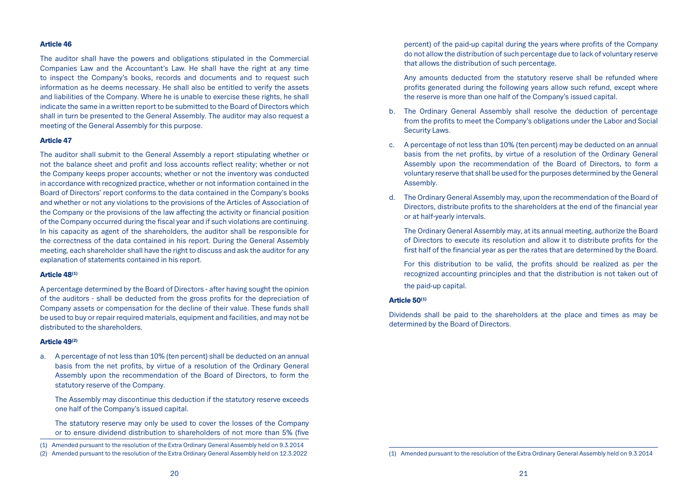#### Article 46

The auditor shall have the powers and obligations stipulated in the Commercial Companies Law and the Accountant's Law. He shall have the right at any time to inspect the Company's books, records and documents and to request such information as he deems necessary. He shall also be entitled to verify the assets and liabilities of the Company. Where he is unable to exercise these rights, he shall indicate the same in a written report to be submitted to the Board of Directors which shall in turn be presented to the General Assembly. The auditor may also request a meeting of the General Assembly for this purpose.

#### Article 47

The auditor shall submit to the General Assembly a report stipulating whether or not the balance sheet and profit and loss accounts reflect reality; whether or not the Company keeps proper accounts; whether or not the inventory was conducted in accordance with recognized practice, whether or not information contained in the Board of Directors' report conforms to the data contained in the Company's books and whether or not any violations to the provisions of the Articles of Association of the Company or the provisions of the law affecting the activity or financial position of the Company occurred during the fiscal year and if such violations are continuing. In his capacity as agent of the shareholders, the auditor shall be responsible for the correctness of the data contained in his report. During the General Assembly meeting, each shareholder shall have the right to discuss and ask the auditor for any explanation of statements contained in his report.

#### Article 48(1)

A percentage determined by the Board of Directors - after having sought the opinion of the auditors - shall be deducted from the gross profits for the depreciation of Company assets or compensation for the decline of their value. These funds shall be used to buy or repair required materials, equipment and facilities, and may not be distributed to the shareholders.

#### Article 49(2)

a. A percentage of not less than 10% (ten percent) shall be deducted on an annual basis from the net profits, by virtue of a resolution of the Ordinary General Assembly upon the recommendation of the Board of Directors, to form the statutory reserve of the Company.

The Assembly may discontinue this deduction if the statutory reserve exceeds one half of the Company's issued capital.

The statutory reserve may only be used to cover the losses of the Company or to ensure dividend distribution to shareholders of not more than 5% (five

(1) Amended pursuant to the resolution of the Extra Ordinary General Assembly held on 9.3.2014

percent) of the paid-up capital during the years where profits of the Company do not allow the distribution of such percentage due to lack of voluntary reserve that allows the distribution of such percentage.

Any amounts deducted from the statutory reserve shall be refunded where profits generated during the following years allow such refund, except where the reserve is more than one half of the Company's issued capital.

- b. The Ordinary General Assembly shall resolve the deduction of percentage from the profits to meet the Company's obligations under the Labor and Social Security Laws.
- c. A percentage of not less than 10% (ten percent) may be deducted on an annual basis from the net profits, by virtue of a resolution of the Ordinary General Assembly upon the recommendation of the Board of Directors, to form a voluntary reserve that shall be used for the purposes determined by the General Assembly.
- d. The Ordinary General Assembly may, upon the recommendation of the Board of Directors, distribute profits to the shareholders at the end of the financial year or at half-yearly intervals.

The Ordinary General Assembly may, at its annual meeting, authorize the Board of Directors to execute its resolution and allow it to distribute profits for the first half of the financial year as per the rates that are determined by the Board.

For this distribution to be valid, the profits should be realized as per the recognized accounting principles and that the distribution is not taken out of the paid-up capital.

#### Article 50<sup>(1)</sup>

Dividends shall be paid to the shareholders at the place and times as may be determined by the Board of Directors.

<sup>(2)</sup> Amended pursuant to the resolution of the Extra Ordinary General Assembly held on 12.3.2022

<sup>(1)</sup> Amended pursuant to the resolution of the Extra Ordinary General Assembly held on 9.3.2014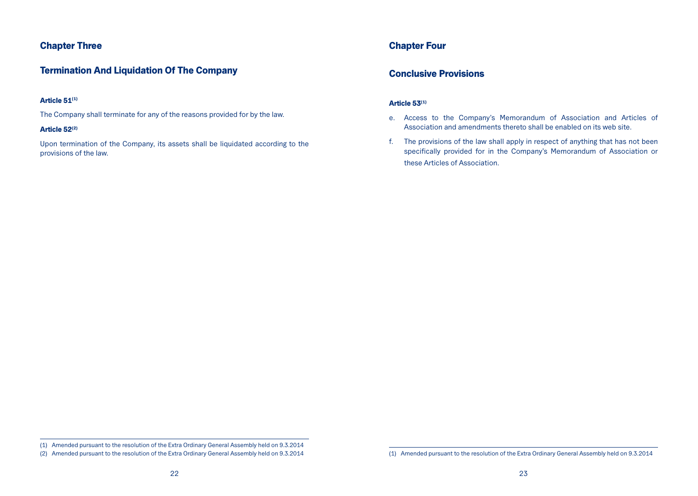# Chapter Three

# Termination And Liquidation Of The Company

# Article 51<sup>(1)</sup>

The Company shall terminate for any of the reasons provided for by the law.

### Article 52(2)

Upon termination of the Company, its assets shall be liquidated according to the provisions of the law.

# Chapter Four

# Conclusive Provisions

# Article 53<sup>(1)</sup>

- e. Access to the Company's Memorandum of Association and Articles of Association and amendments thereto shall be enabled on its web site.
- f. The provisions of the law shall apply in respect of anything that has not been specifically provided for in the Company's Memorandum of Association or these Articles of Association.

<sup>(1)</sup> Amended pursuant to the resolution of the Extra Ordinary General Assembly held on 9.3.2014

<sup>(2)</sup> Amended pursuant to the resolution of the Extra Ordinary General Assembly held on 9.3.2014

<sup>(1)</sup> Amended pursuant to the resolution of the Extra Ordinary General Assembly held on 9.3.2014